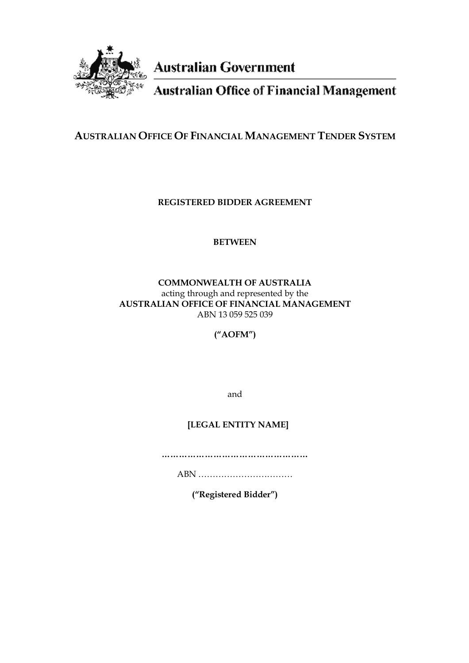

**Australian Government** 

**Australian Office of Financial Management** 

# **AUSTRALIAN OFFICE OF FINANCIAL MANAGEMENT TENDER SYSTEM**

**REGISTERED BIDDER AGREEMENT** 

# **BETWEEN**

# **COMMONWEALTH OF AUSTRALIA** acting through and represented by the **AUSTRALIAN OFFICE OF FINANCIAL MANAGEMENT** ABN 13 059 525 039

**("AOFM")**

and

# **[LEGAL ENTITY NAME]**

………………………………………………………

ABN ……………………………

**("Registered Bidder")**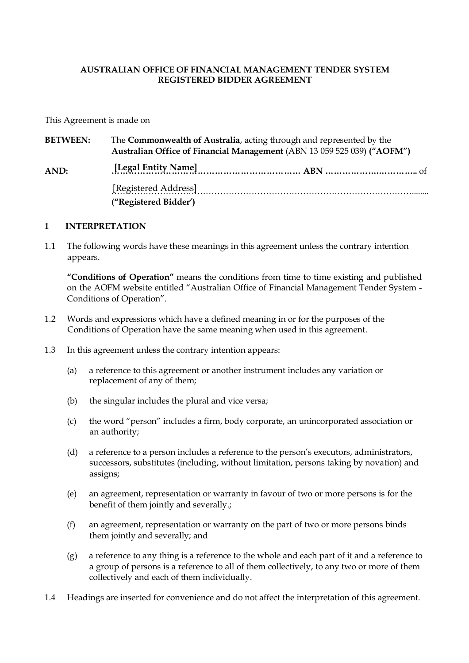### **AUSTRALIAN OFFICE OF FINANCIAL MANAGEMENT TENDER SYSTEM REGISTERED BIDDER AGREEMENT**

This Agreement is made on

| <b>BETWEEN:</b> | The Commonwealth of Australia, acting through and represented by the<br>Australian Office of Financial Management (ABN 13 059 525 039) ("AOFM") |  |  |  |  |  |
|-----------------|-------------------------------------------------------------------------------------------------------------------------------------------------|--|--|--|--|--|
| AND:            |                                                                                                                                                 |  |  |  |  |  |
|                 | [Registered Address]<br>("Registered Bidder")                                                                                                   |  |  |  |  |  |

#### **1 INTERPRETATION**

1.1 The following words have these meanings in this agreement unless the contrary intention appears.

**"Conditions of Operation"** means the conditions from time to time existing and published on the AOFM website entitled "Australian Office of Financial Management Tender System - Conditions of Operation".

- 1.2 Words and expressions which have a defined meaning in or for the purposes of the Conditions of Operation have the same meaning when used in this agreement.
- 1.3 In this agreement unless the contrary intention appears:
	- (a) a reference to this agreement or another instrument includes any variation or replacement of any of them;
	- (b) the singular includes the plural and vice versa;
	- (c) the word "person" includes a firm, body corporate, an unincorporated association or an authority;
	- (d) a reference to a person includes a reference to the person's executors, administrators, successors, substitutes (including, without limitation, persons taking by novation) and assigns;
	- (e) an agreement, representation or warranty in favour of two or more persons is for the benefit of them jointly and severally.;
	- (f) an agreement, representation or warranty on the part of two or more persons binds them jointly and severally; and
	- (g) a reference to any thing is a reference to the whole and each part of it and a reference to a group of persons is a reference to all of them collectively, to any two or more of them collectively and each of them individually.
- 1.4 Headings are inserted for convenience and do not affect the interpretation of this agreement.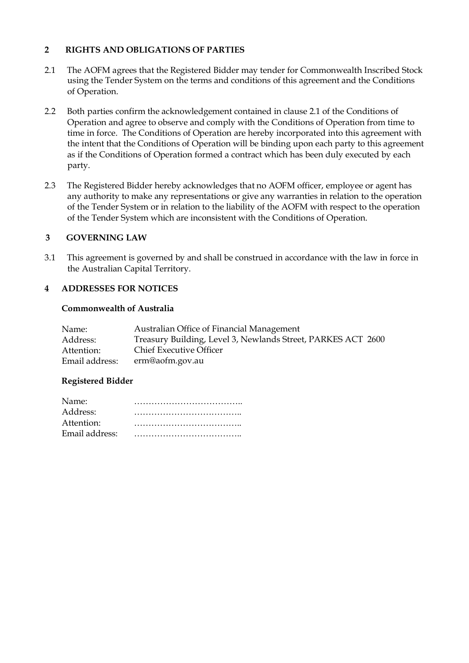### **2 RIGHTS AND OBLIGATIONS OF PARTIES**

- 2.1 The AOFM agrees that the Registered Bidder may tender for Commonwealth Inscribed Stock using the Tender System on the terms and conditions of this agreement and the Conditions of Operation.
- 2.2 Both parties confirm the acknowledgement contained in clause 2.1 of the Conditions of Operation and agree to observe and comply with the Conditions of Operation from time to time in force. The Conditions of Operation are hereby incorporated into this agreement with the intent that the Conditions of Operation will be binding upon each party to this agreement as if the Conditions of Operation formed a contract which has been duly executed by each party.
- 2.3 The Registered Bidder hereby acknowledges that no AOFM officer, employee or agent has any authority to make any representations or give any warranties in relation to the operation of the Tender System or in relation to the liability of the AOFM with respect to the operation of the Tender System which are inconsistent with the Conditions of Operation.

#### **3 GOVERNING LAW**

3.1 This agreement is governed by and shall be construed in accordance with the law in force in the Australian Capital Territory.

#### **4 ADDRESSES FOR NOTICES**

#### **Commonwealth of Australia**

| Name:          | Australian Office of Financial Management                    |
|----------------|--------------------------------------------------------------|
| Address:       | Treasury Building, Level 3, Newlands Street, PARKES ACT 2600 |
| Attention:     | <b>Chief Executive Officer</b>                               |
| Email address: | erm@aofm.gov.au                                              |

#### **Registered Bidder**

| Name:          |  |  |  |  |  |  |  |  |  |  |  |  |  |  |  |
|----------------|--|--|--|--|--|--|--|--|--|--|--|--|--|--|--|
| Address:       |  |  |  |  |  |  |  |  |  |  |  |  |  |  |  |
| Attention:     |  |  |  |  |  |  |  |  |  |  |  |  |  |  |  |
| Email address: |  |  |  |  |  |  |  |  |  |  |  |  |  |  |  |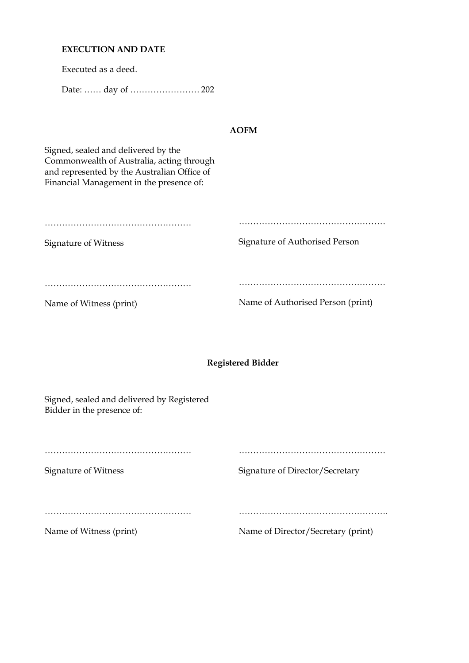### **EXECUTION AND DATE**

Executed as a deed.

Date: …… day of …………………… 202

#### **AOFM**

Signed, sealed and delivered by the Commonwealth of Australia, acting through and represented by the Australian Office of Financial Management in the presence of:

| Signature of Witness    | Signature of Authorised Person    |
|-------------------------|-----------------------------------|
|                         |                                   |
|                         |                                   |
| Name of Witness (print) | Name of Authorised Person (print) |

#### **Registered Bidder**

Signed, sealed and delivered by Registered Bidder in the presence of:

……………………………………………

Signature of Witness

Signature of Director/Secretary

……………………………………………

……………………………………………

Name of Witness (print)

Name of Director/Secretary (print)

…………………………………………….